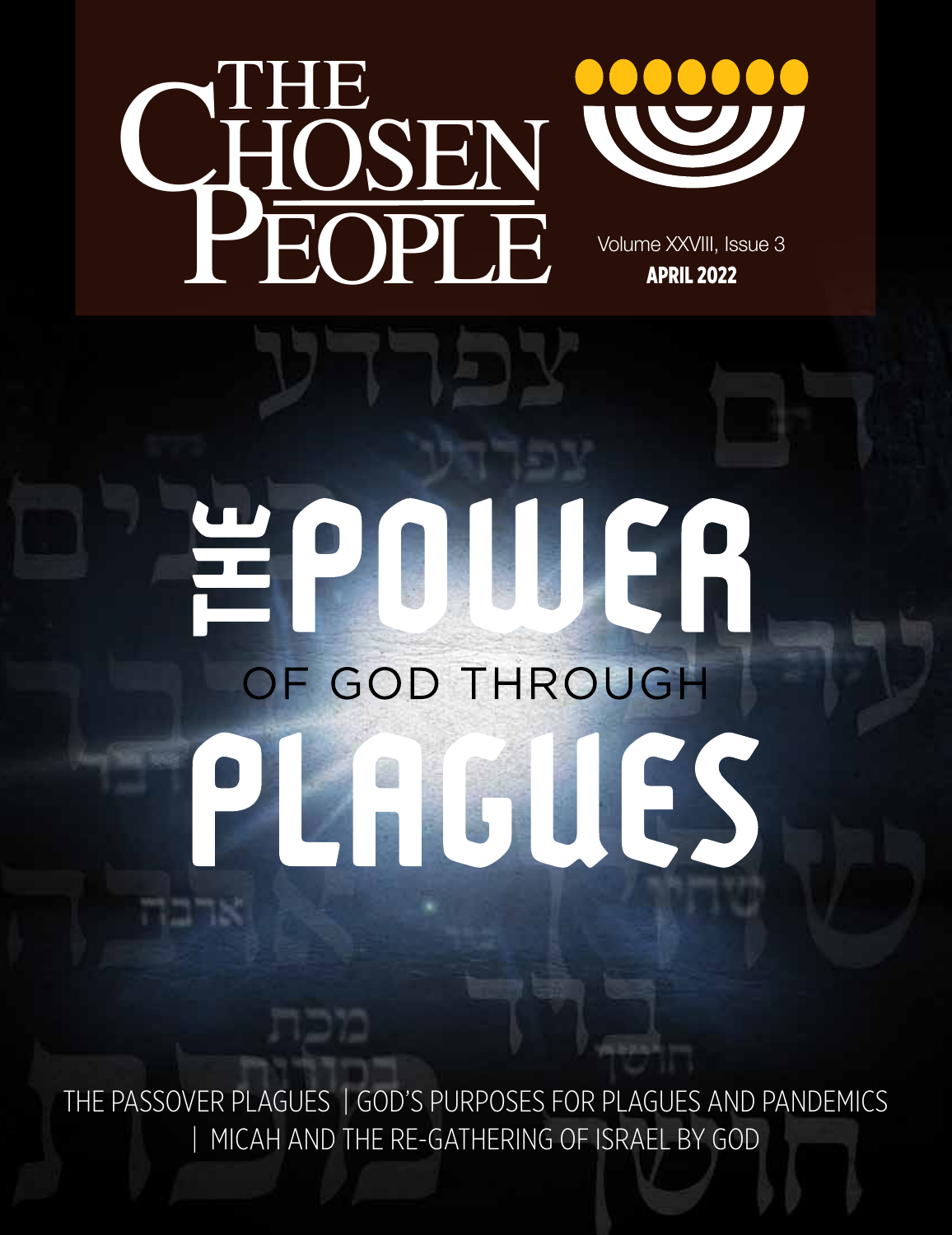

ארבו



Volume XXVIII, Issue 3 APRIL 2022

# EPDELLER OF GOD THROUGH AGUES  $\mathbf{P}$

THE PASSOVER PLAGUES | GOD'S PURPOSES FOR PLAGUES AND PANDEMICS | MICAH AND THE RE-GATHERING OF ISRAEL BY GOD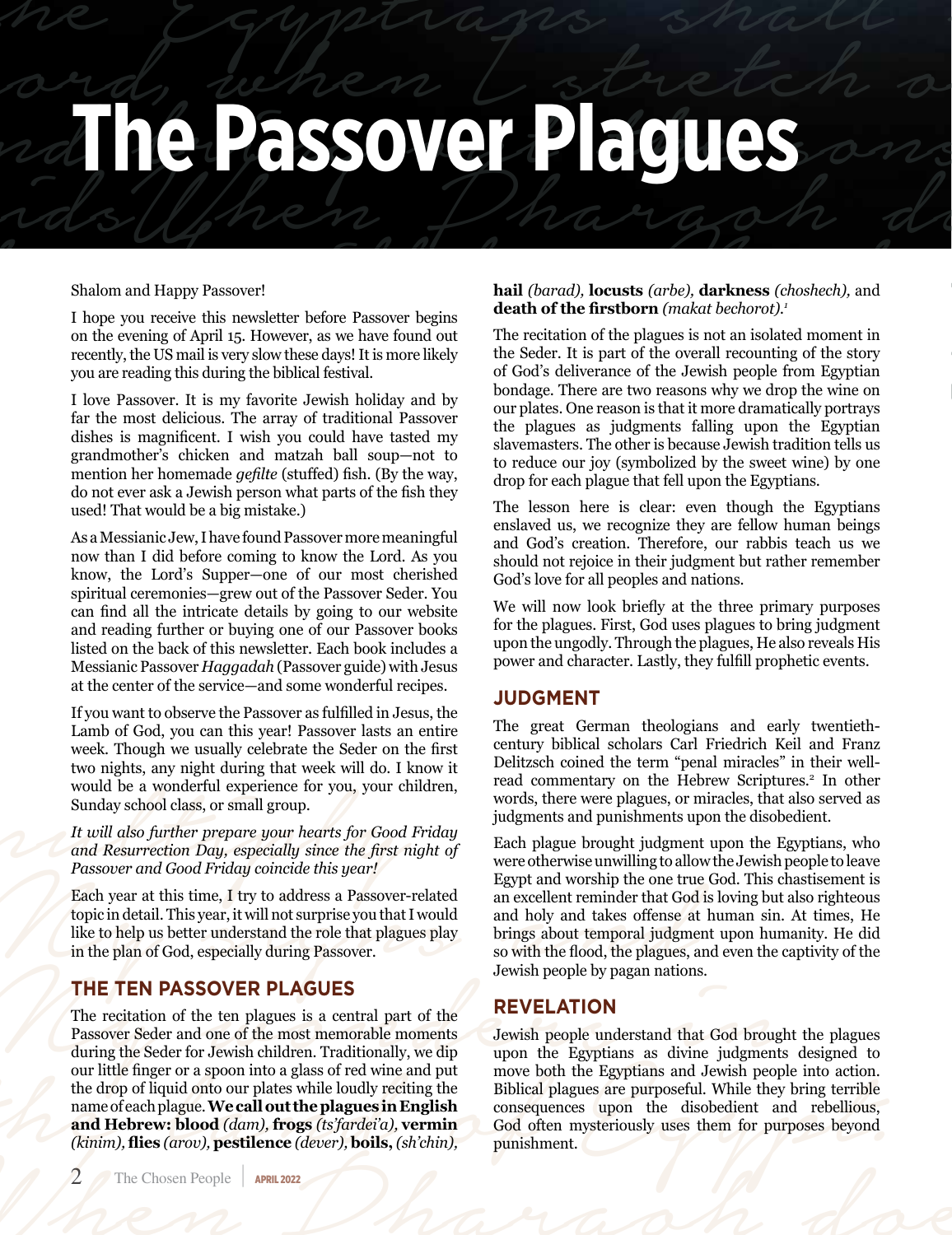## me Gyptugis snatch and behen the south of middle to the pharaoh does not and Happy Passover!<br>
Shalom and Happy Passover!<br>
Thope you receive this newsletter before Passover begins<br>
on the evening of April 15. However, as we have found out The recitation of the plag **The Passover Plagues**

#### Shalom and Happy Passover!

I hope you receive this newsletter before Passover begins on the evening of April 15. However, as we have found out recently, the US mail is very slow these days! It is more likely you are reading this during the biblical festival.

I love Passover. It is my favorite Jewish holiday and by far the most delicious. The array of traditional Passover dishes is magnificent. I wish you could have tasted my grandmother's chicken and matzah ball soup—not to mention her homemade *gefilte* (stuffed) fish. (By the way, do not ever ask a Jewish person what parts of the fish they used! That would be a big mistake.)

As a Messianic Jew, I have found Passover more meaningful now than I did before coming to know the Lord. As you know, the Lord's Supper—one of our most cherished spiritual ceremonies—grew out of the Passover Seder. You can find all the intricate details by going to our website and reading further or buying one of our Passover books listed on the back of this newsletter. Each book includes a Messianic Passover *Haggadah* (Passover guide) with Jesus at the center of the service—and some wonderful recipes.

If you want to observe the Passover as fulfilled in Jesus, the Lamb of God, you can this year! Passover lasts an entire week. Though we usually celebrate the Seder on the first two nights, any night during that week will do. I know it would be a wonderful experience for you, your children, Sunday school class, or small group.

*It will also further prepare your hearts for Good Friday and Resurrection Day, especially since the first night of Passover and Good Friday coincide this year!*

Each year at this time, I try to address a Passover-related topic in detail. This year, it will not surprise you that I would like to help us better understand the role that plagues play in the plan of God, especially during Passover.

### **THE TEN PASSOVER PLAGUES**

The recitation of the ten plagues is a central part of the Passover Seder and one of the most memorable moments during the Seder for Jewish children. Traditionally, we dip our little finger or a spoon into a glass of red wine and put the drop of liquid onto our plates while loudly reciting the name of each plague. **We call out the plagues in English and Hebrew: blood** *(dam),* **frogs** *(ts'fardei'a),* **vermin**  *(kinim),* **flies** *(arov),* **pestilence** *(dever),* **boils,** *(sh'chin),* 

#### **hail** *(barad),* **locusts** *(arbe),* **darkness** *(choshech),* and **death of the firstborn** *(makat bechorot).<sup>1</sup>*

he Egyptiapis shall

Shalom and Happy Passover!<br>
I hope you receive this newsletter before Passover begins<br>
on the evening of April 15. However, as we have found out<br>
on the evening of April 15. However, as we have found out<br>
receitation of th The recitation of the plagues is not an isolated moment in the Seder. It is part of the overall recounting of the story of God's deliverance of the Jewish people from Egyptian bondage. There are two reasons why we drop the wine on our plates. One reason is that it more dramatically portrays the plagues as judgments falling upon the Egyptian slavemasters. The other is because Jewish tradition tells us to reduce our joy (symbolized by the sweet wine) by one drop for each plague that fell upon the Egyptians.

> The lesson here is clear: even though the Egyptians enslaved us, we recognize they are fellow human beings and God's creation. Therefore, our rabbis teach us we should not rejoice in their judgment but rather remember God's love for all peoples and nations.

> We will now look briefly at the three primary purposes for the plagues. First, God uses plagues to bring judgment upon the ungodly. Through the plagues, He also reveals His power and character. Lastly, they fulfill prophetic events.

### **JUDGMENT**

The great German theologians and early twentiethcentury biblical scholars Carl Friedrich Keil and Franz Delitzsch coined the term "penal miracles" in their wellread commentary on the Hebrew Scriptures.<sup>2</sup> In other words, there were plagues, or miracles, that also served as judgments and punishments upon the disobedient.

two nights, any night during that week will do. I know it<br>would be a wonderful experience for you, your children,<br>words, there were plagues, or miracles, that also s<br>anday school class, or small group.<br>It will also furthe Each plague brought judgment upon the Egyptians, who were otherwise unwilling to allow the Jewish people to leave Egypt and worship the one true God. This chastisement is an excellent reminder that God is loving but also righteous and holy and takes offense at human sin. At times, He brings about temporal judgment upon humanity. He did so with the flood, the plagues, and even the captivity of the Jewish people by pagan nations.

### **REVELATION**

during the Seder for Jewish children. Traditionally, we dip<br>
our little finger or a spoon into a glass of red wine and put<br>
the drop of liquid onto our plates while loudly reciting the<br>
name of each plague. We call out th (knim), thes (arov), pestuence (aever), boils, (sh chin), punishment. Jewish people understand that God brought the plagues upon the Egyptians as divine judgments designed to move both the Egyptians and Jewish people into action. Biblical plagues are purposeful. While they bring terrible consequences upon the disobedient and rebellious, God often mysteriously uses them for purposes beyond punishment.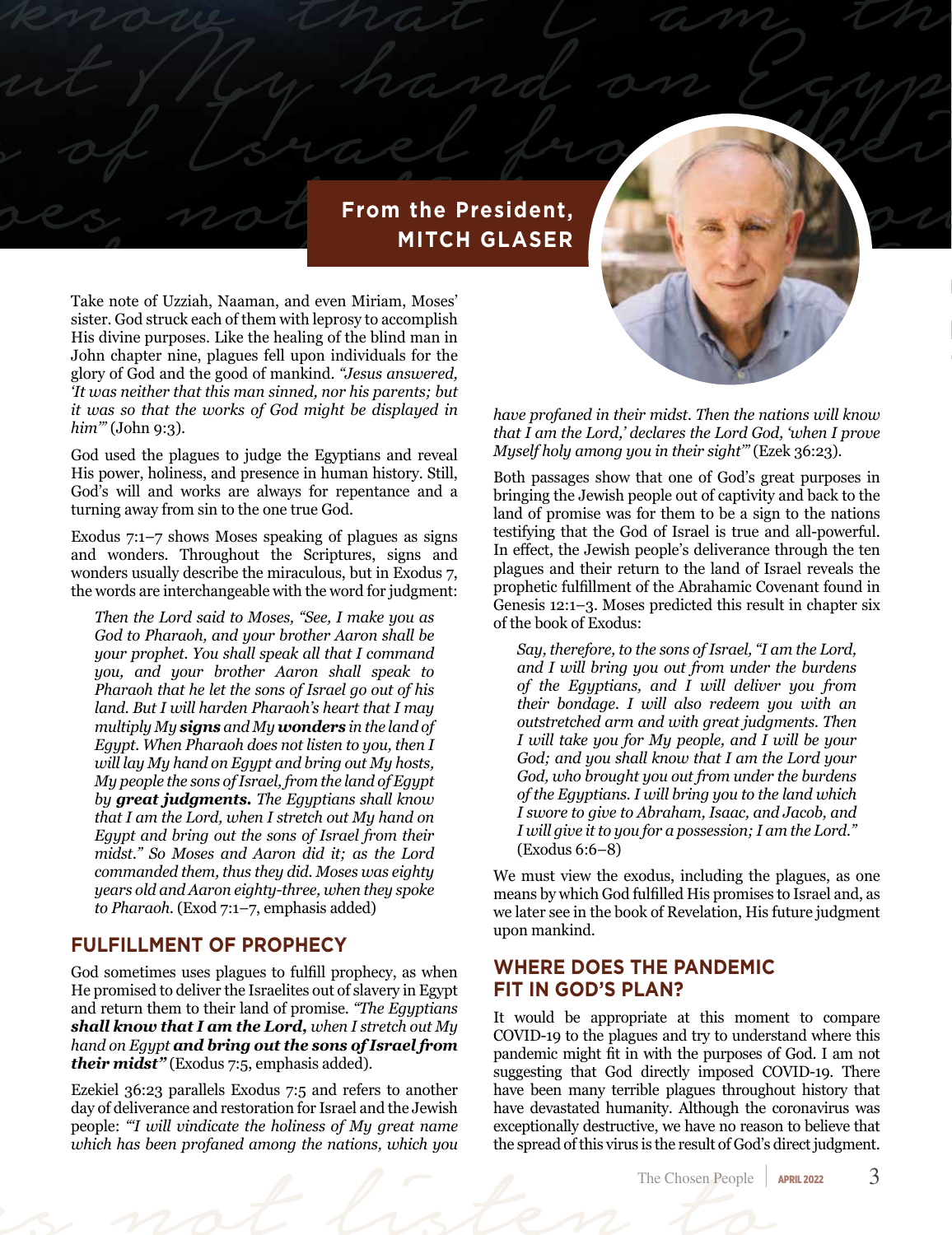## and bring mand on Company **From the President, MITCH GLASER**

MITCH GLASER<br>Take note of Uzziah, Naaman, and even Miriam, Moses'<br>sister. God struck each of them with leprosy to accomplish<br>His divine purposes. Like the healing of the blind man in Take note of Uzziah, Naaman, and even Miriam, Moses'<br>sister. God struck each of them with leprosy to accomplish<br>His divine purposes. Like the healing of the blind man in<br>John chapter nine, plagues fell upon individuals for Take note of Uzziah, Naaman, and even Miriam, Moses' sister. God struck each of them with leprosy to accomplish His divine purposes. Like the healing of the blind man in John chapter nine, plagues fell upon individuals for the glory of God and the good of mankind. *"Jesus answered, 'It was neither that this man sinned, nor his parents; but it was so that the works of God might be displayed in him'"* (John 9:3).

at My hand on Egypt

God used the plagues to judge the Egyptians and reveal His power, holiness, and presence in human history. Still, God's will and works are always for repentance and a turning away from sin to the one true God.

Exodus 7:1–7 shows Moses speaking of plagues as signs and wonders. Throughout the Scriptures, signs and wonders usually describe the miraculous, but in Exodus 7, the words are interchangeable with the word for judgment:

*Then the Lord said to Moses, "See, I make you as God to Pharaoh, and your brother Aaron shall be your prophet. You shall speak all that I command you, and your brother Aaron shall speak to Pharaoh that he let the sons of Israel go out of his land. But I will harden Pharaoh's heart that I may multiply My signs and My wonders in the land of Egypt. When Pharaoh does not listen to you, then I will lay My hand on Egypt and bring out My hosts, My people the sons of Israel, from the land of Egypt by great judgments. The Egyptians shall know that I am the Lord, when I stretch out My hand on Egypt and bring out the sons of Israel from their midst." So Moses and Aaron did it; as the Lord commanded them, thus they did. Moses was eighty years old and Aaron eighty-three, when they spoke*  to Pharaoh. (Exod 7:1-7, emphasis added)

### **FULFILLMENT OF PROPHECY**

God sometimes uses plagues to fulfill prophecy, as when He promised to deliver the Israelites out of slavery in Egypt and return them to their land of promise. *"The Egyptians shall know that I am the Lord, when I stretch out My hand on Egypt and bring out the sons of Israel from their midst"* (Exodus 7:5, emphasis added).

which has been profaned among the nations, which you<br>The Chosen People<br>The Chosen People Ezekiel 36:23 parallels Exodus 7:5 and refers to another day of deliverance and restoration for Israel and the Jewish people: *"'I will vindicate the holiness of My great name which has been profaned among the nations, which you* 

*have profaned in their midst. Then the nations will know that I am the Lord,' declares the Lord God, 'when I prove Myself holy among you in their sight'"* (Ezek 36:23).

Both passages show that one of God's great purposes in bringing the Jewish people out of captivity and back to the land of promise was for them to be a sign to the nations testifying that the God of Israel is true and all-powerful. In effect, the Jewish people's deliverance through the ten plagues and their return to the land of Israel reveals the prophetic fulfillment of the Abrahamic Covenant found in Genesis 12:1–3. Moses predicted this result in chapter six of the book of Exodus:

*Say, therefore, to the sons of Israel, "I am the Lord, and I will bring you out from under the burdens of the Egyptians, and I will deliver you from their bondage. I will also redeem you with an outstretched arm and with great judgments. Then I will take you for My people, and I will be your God; and you shall know that I am the Lord your God, who brought you out from under the burdens of the Egyptians. I will bring you to the land which I swore to give to Abraham, Isaac, and Jacob, and I will give it to you for a possession; I am the Lord."*  (Exodus 6:6–8)

We must view the exodus, including the plagues, as one means by which God fulfilled His promises to Israel and, as we later see in the book of Revelation, His future judgment upon mankind.

#### **WHERE DOES THE PANDEMIC FIT IN GOD'S PLAN?**

It would be appropriate at this moment to compare COVID-19 to the plagues and try to understand where this pandemic might fit in with the purposes of God. I am not suggesting that God directly imposed COVID-19. There have been many terrible plagues throughout history that have devastated humanity. Although the coronavirus was exceptionally destructive, we have no reason to believe that the spread of this virus is the result of God's direct judgment.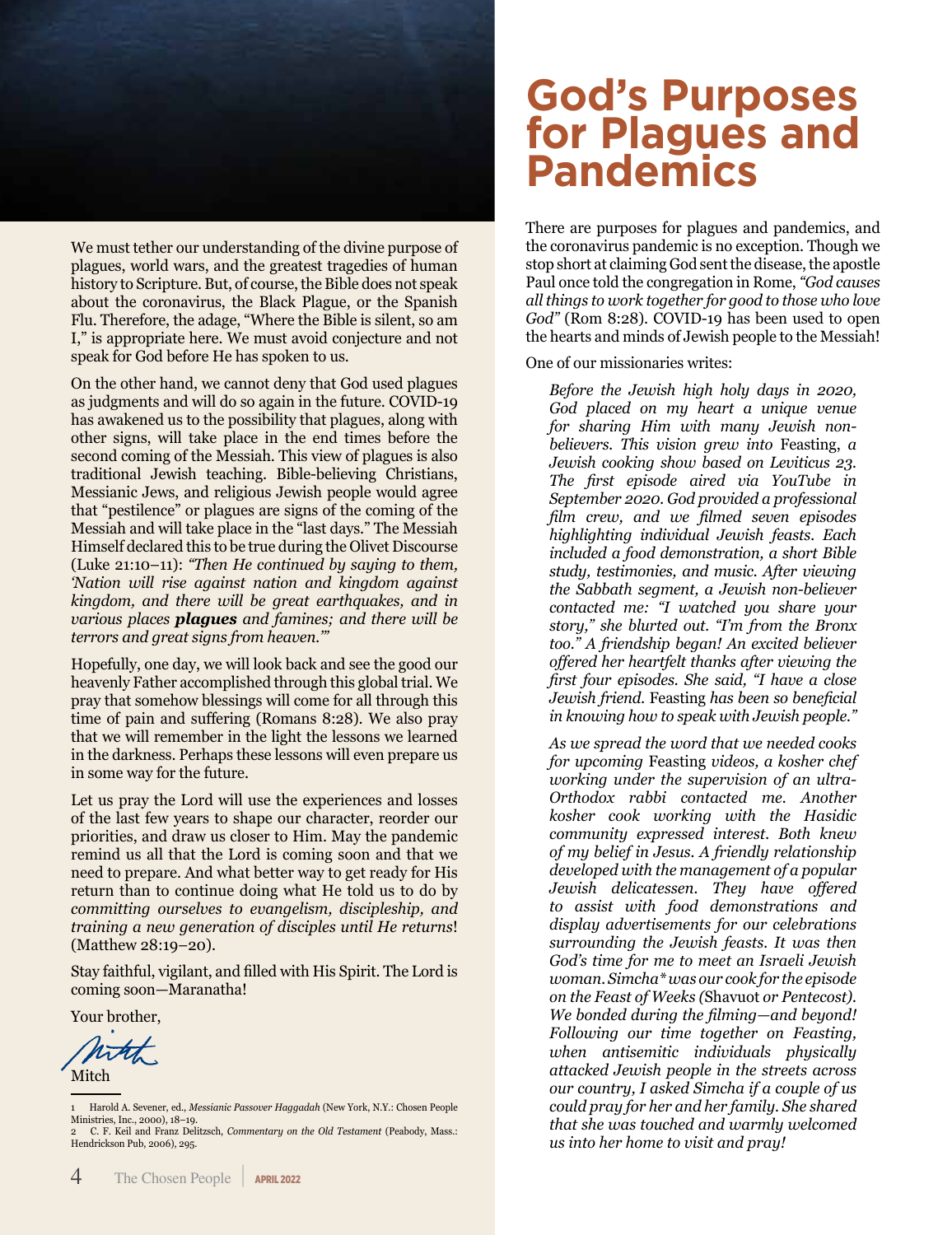

We must tether our understanding of the divine purpose of plagues, world wars, and the greatest tragedies of human history to Scripture. But, of course, the Bible does not speak about the coronavirus, the Black Plague, or the Spanish Flu. Therefore, the adage, "Where the Bible is silent, so am I," is appropriate here. We must avoid conjecture and not speak for God before He has spoken to us.

On the other hand, we cannot deny that God used plagues as judgments and will do so again in the future. COVID-19 has awakened us to the possibility that plagues, along with other signs, will take place in the end times before the second coming of the Messiah. This view of plagues is also traditional Jewish teaching. Bible-believing Christians, Messianic Jews, and religious Jewish people would agree that "pestilence" or plagues are signs of the coming of the Messiah and will take place in the "last days." The Messiah Himself declared this to be true during the Olivet Discourse (Luke 21:10–11): *"Then He continued by saying to them, 'Nation will rise against nation and kingdom against kingdom, and there will be great earthquakes, and in various places plagues and famines; and there will be terrors and great signs from heaven.'"*

Hopefully, one day, we will look back and see the good our heavenly Father accomplished through this global trial. We pray that somehow blessings will come for all through this time of pain and suffering (Romans 8:28). We also pray that we will remember in the light the lessons we learned in the darkness. Perhaps these lessons will even prepare us in some way for the future.

Let us pray the Lord will use the experiences and losses of the last few years to shape our character, reorder our priorities, and draw us closer to Him. May the pandemic remind us all that the Lord is coming soon and that we need to prepare. And what better way to get ready for His return than to continue doing what He told us to do by *committing ourselves to evangelism, discipleship, and training a new generation of disciples until He returns*! (Matthew 28:19–20).

Stay faithful, vigilant, and filled with His Spirit. The Lord is coming soon—Maranatha!

Your brother,

Mitch

1 Harold A. Sevener, ed., *Messianic Passover Haggadah* (New York, N.Y.: Chosen People Ministries, Inc., 2000), 18–19. 2 C. F. Keil and Franz Delitzsch, *Commentary on the Old Testament* (Peabody, Mass.:

Hendrickson Pub, 2006), 295.

### **God's Purposes for Plagues and Pandemics**

There are purposes for plagues and pandemics, and the coronavirus pandemic is no exception. Though we stop short at claiming God sent the disease, the apostle Paul once told the congregation in Rome, *"God causes all things to work together for good to those who love God"* (Rom 8:28). COVID-19 has been used to open the hearts and minds of Jewish people to the Messiah!

One of our missionaries writes:

*Before the Jewish high holy days in 2020, God placed on my heart a unique venue for sharing Him with many Jewish nonbelievers. This vision grew into* Feasting, *a Jewish cooking show based on Leviticus 23. The first episode aired via YouTube in September 2020. God provided a professional film crew, and we filmed seven episodes highlighting individual Jewish feasts. Each included a food demonstration, a short Bible study, testimonies, and music. After viewing the Sabbath segment, a Jewish non-believer contacted me: "I watched you share your story," she blurted out. "I'm from the Bronx too." A friendship began! An excited believer offered her heartfelt thanks after viewing the first four episodes. She said, "I have a close Jewish friend.* Feasting *has been so beneficial in knowing how to speak with Jewish people."* 

*As we spread the word that we needed cooks for upcoming* Feasting *videos, a kosher chef working under the supervision of an ultra-Orthodox rabbi contacted me. Another kosher cook working with the Hasidic community expressed interest. Both knew of my belief in Jesus. A friendly relationship developed with the management of a popular Jewish delicatessen. They have offered to assist with food demonstrations and display advertisements for our celebrations surrounding the Jewish feasts. It was then God's time for me to meet an Israeli Jewish woman. Simcha\* was our cook for the episode on the Feast of Weeks (*Shavuot *or Pentecost). We bonded during the filming—and beyond! Following our time together on Feasting, when antisemitic individuals physically attacked Jewish people in the streets across our country, I asked Simcha if a couple of us could pray for her and her family. She shared that she was touched and warmly welcomed us into her home to visit and pray!*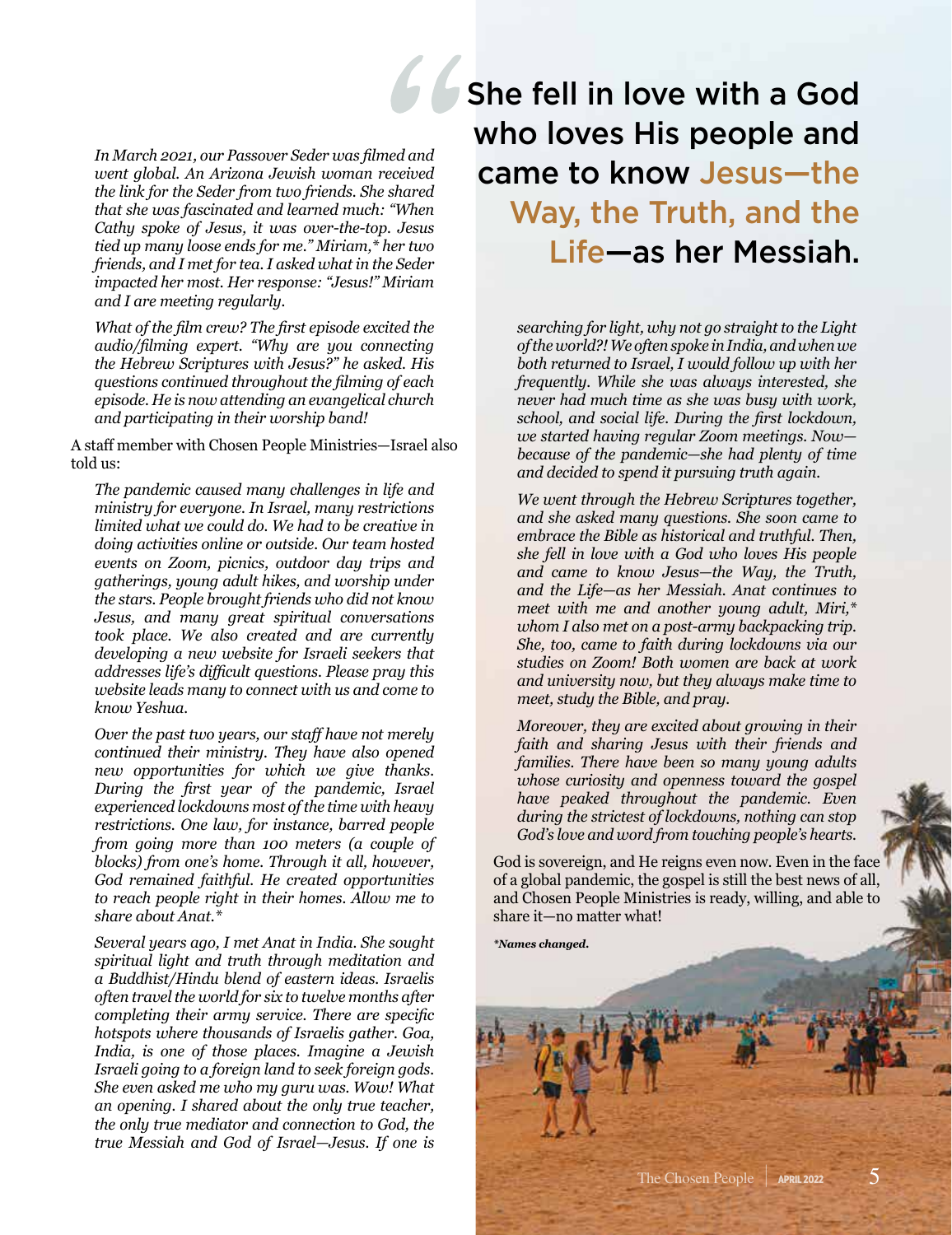*In March 2021, our Passover Seder was filmed and went global. An Arizona Jewish woman received the link for the Seder from two friends. She shared that she was fascinated and learned much: "When Cathy spoke of Jesus, it was over-the-top. Jesus tied up many loose ends for me." Miriam,\* her two friends, and I met for tea. I asked what in the Seder impacted her most. Her response: "Jesus!" Miriam and I are meeting regularly.*

*What of the film crew? The first episode excited the audio/filming expert. "Why are you connecting the Hebrew Scriptures with Jesus?" he asked. His questions continued throughout the filming of each episode. He is now attending an evangelical church and participating in their worship band!* 

A staff member with Chosen People Ministries—Israel also told us:

*The pandemic caused many challenges in life and ministry for everyone. In Israel, many restrictions limited what we could do. We had to be creative in doing activities online or outside. Our team hosted events on Zoom, picnics, outdoor day trips and gatherings, young adult hikes, and worship under the stars. People brought friends who did not know Jesus, and many great spiritual conversations took place. We also created and are currently developing a new website for Israeli seekers that addresses life's difficult questions. Please pray this website leads many to connect with us and come to know Yeshua.* 

*Over the past two years, our staff have not merely continued their ministry. They have also opened new opportunities for which we give thanks. During the first year of the pandemic, Israel experienced lockdowns most of the time with heavy restrictions. One law, for instance, barred people from going more than 100 meters (a couple of blocks) from one's home. Through it all, however, God remained faithful. He created opportunities to reach people right in their homes. Allow me to share about Anat.\** 

*Several years ago, I met Anat in India. She sought spiritual light and truth through meditation and a Buddhist/Hindu blend of eastern ideas. Israelis often travel the world for six to twelve months after completing their army service. There are specific hotspots where thousands of Israelis gather. Goa, India, is one of those places. Imagine a Jewish Israeli going to a foreign land to seek foreign gods. She even asked me who my guru was. Wow! What an opening. I shared about the only true teacher, the only true mediator and connection to God, the true Messiah and God of Israel—Jesus. If one is* 

She fell in love with a God who loves His people and came to know Jesus—the Way, the Truth, and the Life—as her Messiah.

> *searching for light, why not go straight to the Light of the world?! We often spoke in India, and when we both returned to Israel, I would follow up with her frequently. While she was always interested, she never had much time as she was busy with work, school, and social life. During the first lockdown, we started having regular Zoom meetings. Now because of the pandemic—she had plenty of time and decided to spend it pursuing truth again.*

> *We went through the Hebrew Scriptures together, and she asked many questions. She soon came to embrace the Bible as historical and truthful. Then, she fell in love with a God who loves His people and came to know Jesus—the Way, the Truth, and the Life—as her Messiah. Anat continues to meet with me and another young adult, Miri,\* whom I also met on a post-army backpacking trip. She, too, came to faith during lockdowns via our studies on Zoom! Both women are back at work and university now, but they always make time to meet, study the Bible, and pray.*

> *Moreover, they are excited about growing in their faith and sharing Jesus with their friends and families. There have been so many young adults whose curiosity and openness toward the gospel have peaked throughout the pandemic. Even during the strictest of lockdowns, nothing can stop God's love and word from touching people's hearts.*

God is sovereign, and He reigns even now. Even in the face of a global pandemic, the gospel is still the best news of all, and Chosen People Ministries is ready, willing, and able to share it—no matter what!

*\*Names changed.*

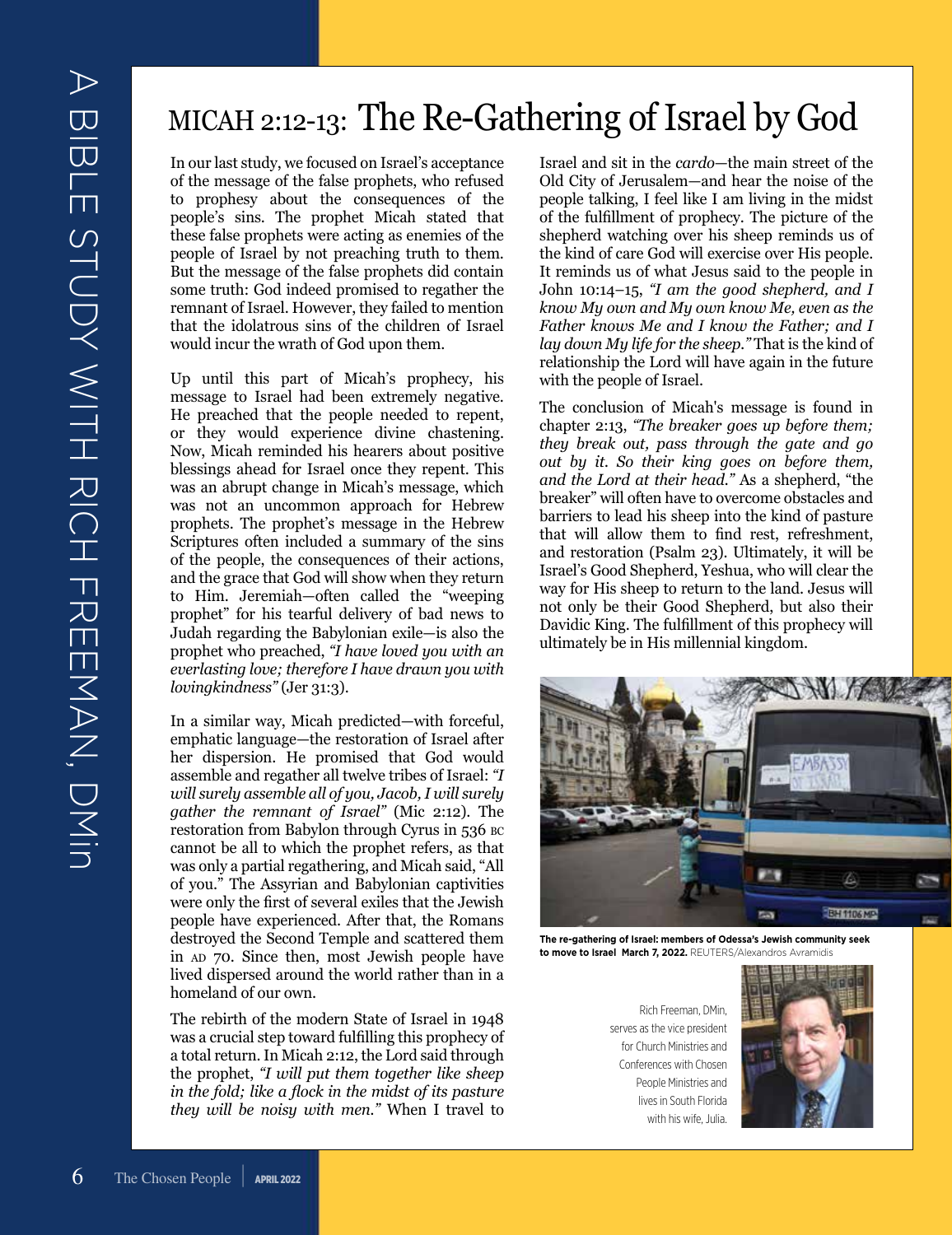### MICAH 2:12-13: The Re-Gathering of Israel by God

In our last study, we focused on Israel's acceptance of the message of the false prophets, who refused to prophesy about the consequences of the people's sins. The prophet Micah stated that these false prophets were acting as enemies of the people of Israel by not preaching truth to them. But the message of the false prophets did contain some truth: God indeed promised to regather the remnant of Israel. However, they failed to mention that the idolatrous sins of the children of Israel would incur the wrath of God upon them.

Up until this part of Micah's prophecy, his message to Israel had been extremely negative. He preached that the people needed to repent, or they would experience divine chastening. Now, Micah reminded his hearers about positive blessings ahead for Israel once they repent. This was an abrupt change in Micah's message, which was not an uncommon approach for Hebrew prophets. The prophet's message in the Hebrew Scriptures often included a summary of the sins of the people, the consequences of their actions, and the grace that God will show when they return to Him. Jeremiah—often called the "weeping prophet" for his tearful delivery of bad news to Judah regarding the Babylonian exile—is also the prophet who preached, *"I have loved you with an everlasting love; therefore I have drawn you with lovingkindness"* (Jer 31:3).

In a similar way, Micah predicted—with forceful, emphatic language—the restoration of Israel after her dispersion. He promised that God would assemble and regather all twelve tribes of Israel: *"I will surely assemble all of you, Jacob, I will surely gather the remnant of Israel"* (Mic 2:12). The restoration from Babylon through Cyrus in 536 bc cannot be all to which the prophet refers, as that was only a partial regathering, and Micah said, "All of you." The Assyrian and Babylonian captivities were only the first of several exiles that the Jewish people have experienced. After that, the Romans destroyed the Second Temple and scattered them in ap 70. Since then, most Jewish people have lived dispersed around the world rather than in a homeland of our own.

The rebirth of the modern State of Israel in 1948 was a crucial step toward fulfilling this prophecy of a total return. In Micah 2:12, the Lord said through the prophet, *"I will put them together like sheep in the fold; like a flock in the midst of its pasture they will be noisy with men."* When I travel to Israel and sit in the *cardo*—the main street of the Old City of Jerusalem—and hear the noise of the people talking, I feel like I am living in the midst of the fulfillment of prophecy. The picture of the shepherd watching over his sheep reminds us of the kind of care God will exercise over His people. It reminds us of what Jesus said to the people in John 10:14–15, *"I am the good shepherd, and I know My own and My own know Me, even as the Father knows Me and I know the Father; and I lay down My life for the sheep."* That is the kind of relationship the Lord will have again in the future with the people of Israel.

The conclusion of Micah's message is found in chapter 2:13, *"The breaker goes up before them; they break out, pass through the gate and go out by it. So their king goes on before them, and the Lord at their head."* As a shepherd, "the breaker" will often have to overcome obstacles and barriers to lead his sheep into the kind of pasture that will allow them to find rest, refreshment, and restoration (Psalm 23). Ultimately, it will be Israel's Good Shepherd, Yeshua, who will clear the way for His sheep to return to the land. Jesus will not only be their Good Shepherd, but also their Davidic King. The fulfillment of this prophecy will ultimately be in His millennial kingdom.



**The re-gathering of Israel: members of Odessa's Jewish community seek to move to Israel March 7, 2022.** REUTERS/Alexandros Avramidis

Rich Freeman, DMin, serves as the vice president for Church Ministries and Conferences with Chosen People Ministries and lives in South Florida with his wife, Julia.

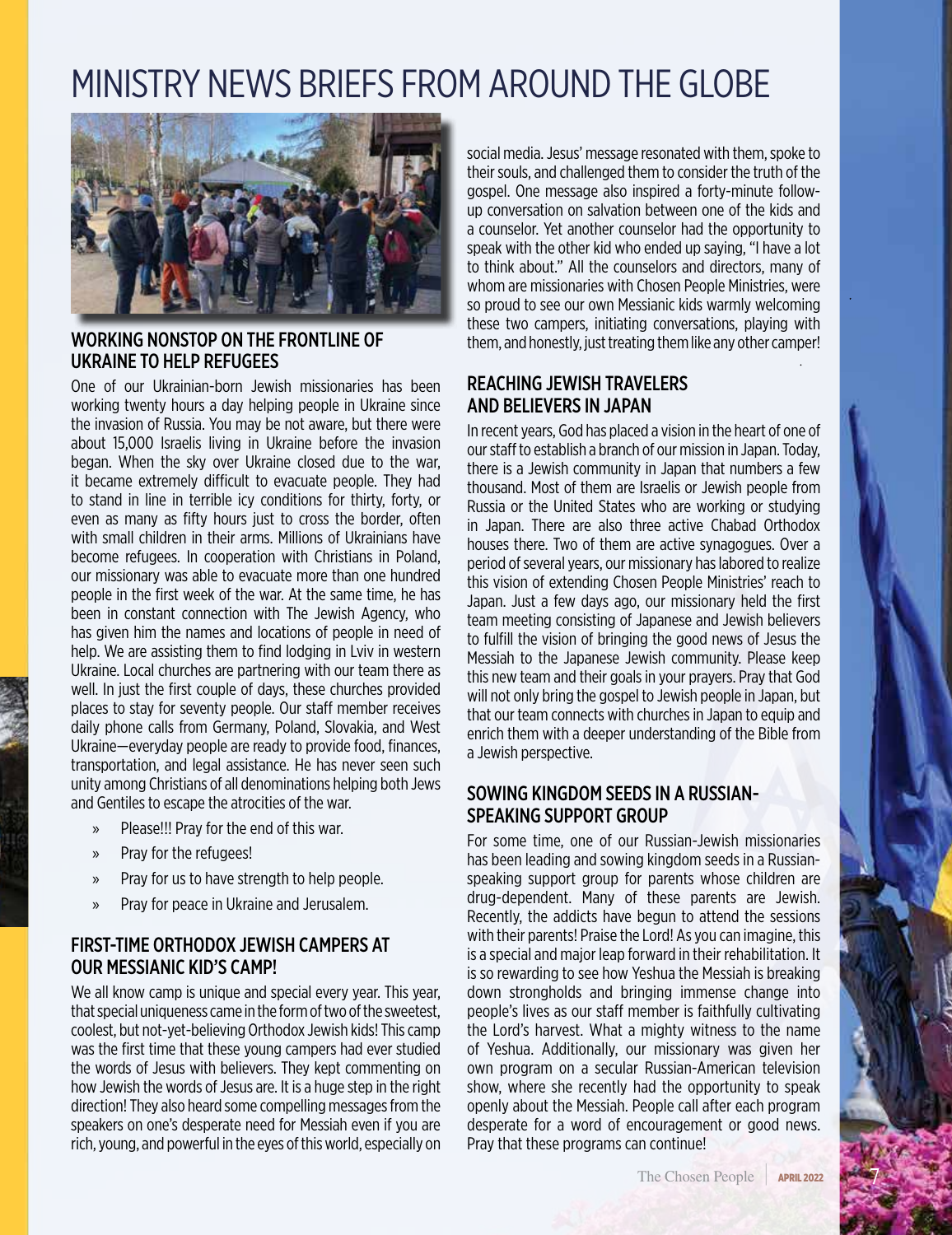### MINISTRY NEWS BRIEFS FROM AROUND THE GLOBE



### WORKING NONSTOP ON THE FRONTLINE OF UKRAINE TO HELP REFUGEES

One of our Ukrainian-born Jewish missionaries has been working twenty hours a day helping people in Ukraine since the invasion of Russia. You may be not aware, but there were about 15,000 Israelis living in Ukraine before the invasion began. When the sky over Ukraine closed due to the war, it became extremely difficult to evacuate people. They had to stand in line in terrible icy conditions for thirty, forty, or even as many as fifty hours just to cross the border, often with small children in their arms. Millions of Ukrainians have become refugees. In cooperation with Christians in Poland, our missionary was able to evacuate more than one hundred people in the first week of the war. At the same time, he has been in constant connection with The Jewish Agency, who has given him the names and locations of people in need of help. We are assisting them to find lodging in Lviv in western Ukraine. Local churches are partnering with our team there as well. In just the first couple of days, these churches provided places to stay for seventy people. Our staff member receives daily phone calls from Germany, Poland, Slovakia, and West Ukraine—everyday people are ready to provide food, finances, transportation, and legal assistance. He has never seen such unity among Christians of all denominations helping both Jews and Gentiles to escape the atrocities of the war.

- » Please!!! Pray for the end of this war.
- » Pray for the refugees!
- » Pray for us to have strength to help people.
- » Pray for peace in Ukraine and Jerusalem.

### FIRST-TIME ORTHODOX JEWISH CAMPERS AT OUR MESSIANIC KID'S CAMP!

We all know camp is unique and special every year. This year, that special uniqueness came in the form of two of the sweetest, coolest, but not-yet-believing Orthodox Jewish kids! This camp was the first time that these young campers had ever studied the words of Jesus with believers. They kept commenting on how Jewish the words of Jesus are. It is a huge step in the right direction! They also heard some compelling messages from the speakers on one's desperate need for Messiah even if you are rich, young, and powerful in the eyes of this world, especially on

social media. Jesus' message resonated with them, spoke to their souls, and challenged them to consider the truth of the gospel. One message also inspired a forty-minute followup conversation on salvation between one of the kids and a counselor. Yet another counselor had the opportunity to speak with the other kid who ended up saying, "I have a lot to think about." All the counselors and directors, many of whom are missionaries with Chosen People Ministries, were so proud to see our own Messianic kids warmly welcoming these two campers, initiating conversations, playing with them, and honestly, just treating them like any other camper!

### REACHING JEWISH TRAVELERS AND BELIEVERS IN JAPAN

In recent years, God has placed a vision in the heart of one of our staff to establish a branch of our mission in Japan. Today, there is a Jewish community in Japan that numbers a few thousand. Most of them are Israelis or Jewish people from Russia or the United States who are working or studying in Japan. There are also three active Chabad Orthodox houses there. Two of them are active synagogues. Over a period of several years, our missionary has labored to realize this vision of extending Chosen People Ministries' reach to Japan. Just a few days ago, our missionary held the first team meeting consisting of Japanese and Jewish believers to fulfill the vision of bringing the good news of Jesus the Messiah to the Japanese Jewish community. Please keep this new team and their goals in your prayers. Pray that God will not only bring the gospel to Jewish people in Japan, but that our team connects with churches in Japan to equip and enrich them with a deeper understanding of the Bible from a Jewish perspective.

### SOWING KINGDOM SEEDS IN A RUSSIAN-SPEAKING SUPPORT GROUP

For some time, one of our Russian-Jewish missionaries has been leading and sowing kingdom seeds in a Russianspeaking support group for parents whose children are drug-dependent. Many of these parents are Jewish. Recently, the addicts have begun to attend the sessions with their parents! Praise the Lord! As you can imagine, this is a special and major leap forward in their rehabilitation. It is so rewarding to see how Yeshua the Messiah is breaking down strongholds and bringing immense change into people's lives as our staff member is faithfully cultivating the Lord's harvest. What a mighty witness to the name of Yeshua. Additionally, our missionary was given her own program on a secular Russian-American television show, where she recently had the opportunity to speak openly about the Messiah. People call after each program desperate for a word of encouragement or good news. Pray that these programs can continue!